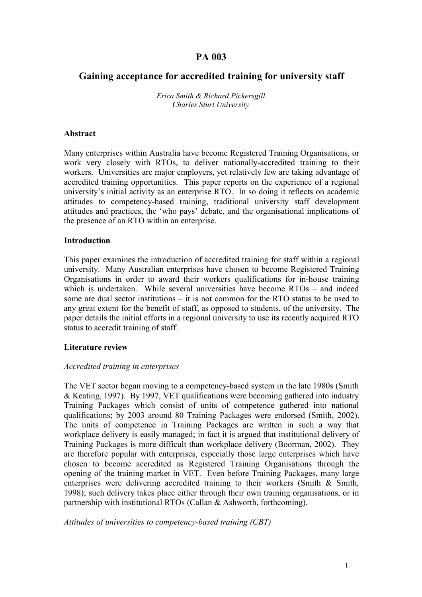# **PA 003**

# **Gaining acceptance for accredited training for university staff**

*Erica Smith & Richard Pickersgill Charles Sturt University*

#### **Abstract**

Many enterprises within Australia have become Registered Training Organisations, or work very closely with RTOs, to deliver nationally-accredited training to their workers. Universities are major employers, yet relatively few are taking advantage of accredited training opportunities. This paper reports on the experience of a regional university's initial activity as an enterprise RTO. In so doing it reflects on academic attitudes to competency-based training, traditional university staff development attitudes and practices, the 'who pays' debate, and the organisational implications of the presence of an RTO within an enterprise.

#### **Introduction**

This paper examines the introduction of accredited training for staff within a regional university. Many Australian enterprises have chosen to become Registered Training Organisations in order to award their workers qualifications for in-house training which is undertaken. While several universities have become RTOs – and indeed some are dual sector institutions – it is not common for the RTO status to be used to any great extent for the benefit of staff, as opposed to students, of the university. The paper details the initial efforts in a regional university to use its recently acquired RTO status to accredit training of staff.

### **Literature review**

### *Accredited training in enterprises*

The VET sector began moving to a competency-based system in the late 1980s (Smith & Keating, 1997). By 1997, VET qualifications were becoming gathered into industry Training Packages which consist of units of competence gathered into national qualifications; by 2003 around 80 Training Packages were endorsed (Smith, 2002). The units of competence in Training Packages are written in such a way that workplace delivery is easily managed; in fact it is argued that institutional delivery of Training Packages is more difficult than workplace delivery (Boorman, 2002). They are therefore popular with enterprises, especially those large enterprises which have chosen to become accredited as Registered Training Organisations through the opening of the training market in VET. Even before Training Packages, many large enterprises were delivering accredited training to their workers (Smith & Smith, 1998); such delivery takes place either through their own training organisations, or in partnership with institutional RTOs (Callan & Ashworth, forthcoming).

*Attitudes of universities to competency-based training (CBT)*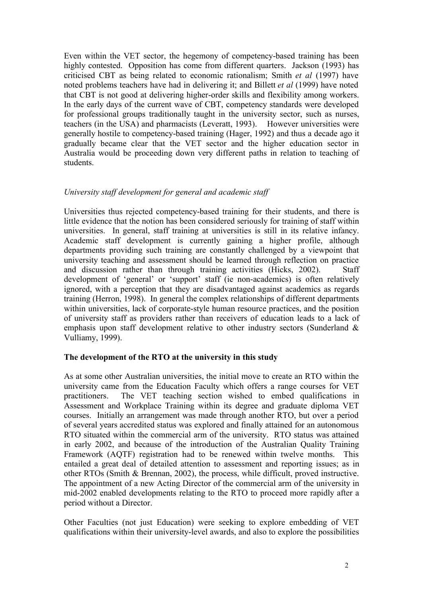Even within the VET sector, the hegemony of competency-based training has been highly contested. Opposition has come from different quarters. Jackson (1993) has criticised CBT as being related to economic rationalism; Smith *et al* (1997) have noted problems teachers have had in delivering it; and Billett *et al* (1999) have noted that CBT is not good at delivering higher-order skills and flexibility among workers. In the early days of the current wave of CBT, competency standards were developed for professional groups traditionally taught in the university sector, such as nurses, teachers (in the USA) and pharmacists (Leveratt, 1993). However universities were generally hostile to competency-based training (Hager, 1992) and thus a decade ago it gradually became clear that the VET sector and the higher education sector in Australia would be proceeding down very different paths in relation to teaching of students.

## *University staff development for general and academic staff*

Universities thus rejected competency-based training for their students, and there is little evidence that the notion has been considered seriously for training of staff within universities. In general, staff training at universities is still in its relative infancy. Academic staff development is currently gaining a higher profile, although departments providing such training are constantly challenged by a viewpoint that university teaching and assessment should be learned through reflection on practice and discussion rather than through training activities (Hicks, 2002). Staff development of 'general' or 'support' staff (ie non-academics) is often relatively ignored, with a perception that they are disadvantaged against academics as regards training (Herron, 1998). In general the complex relationships of different departments within universities, lack of corporate-style human resource practices, and the position of university staff as providers rather than receivers of education leads to a lack of emphasis upon staff development relative to other industry sectors (Sunderland & Vulliamy, 1999).

### **The development of the RTO at the university in this study**

As at some other Australian universities, the initial move to create an RTO within the university came from the Education Faculty which offers a range courses for VET practitioners. The VET teaching section wished to embed qualifications in Assessment and Workplace Training within its degree and graduate diploma VET courses. Initially an arrangement was made through another RTO, but over a period of several years accredited status was explored and finally attained for an autonomous RTO situated within the commercial arm of the university. RTO status was attained in early 2002, and because of the introduction of the Australian Quality Training Framework (AQTF) registration had to be renewed within twelve months. This entailed a great deal of detailed attention to assessment and reporting issues; as in other RTOs (Smith & Brennan, 2002), the process, while difficult, proved instructive. The appointment of a new Acting Director of the commercial arm of the university in mid-2002 enabled developments relating to the RTO to proceed more rapidly after a period without a Director.

Other Faculties (not just Education) were seeking to explore embedding of VET qualifications within their university-level awards, and also to explore the possibilities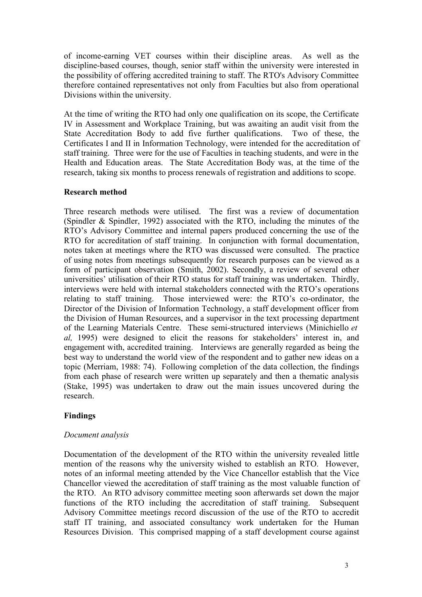of income-earning VET courses within their discipline areas. As well as the discipline-based courses, though, senior staff within the university were interested in the possibility of offering accredited training to staff. The RTO's Advisory Committee therefore contained representatives not only from Faculties but also from operational Divisions within the university.

At the time of writing the RTO had only one qualification on its scope, the Certificate IV in Assessment and Workplace Training, but was awaiting an audit visit from the State Accreditation Body to add five further qualifications. Two of these, the Certificates I and II in Information Technology, were intended for the accreditation of staff training. Three were for the use of Faculties in teaching students, and were in the Health and Education areas. The State Accreditation Body was, at the time of the research, taking six months to process renewals of registration and additions to scope.

## **Research method**

Three research methods were utilised. The first was a review of documentation (Spindler & Spindler, 1992) associated with the RTO, including the minutes of the RTO's Advisory Committee and internal papers produced concerning the use of the RTO for accreditation of staff training. In conjunction with formal documentation, notes taken at meetings where the RTO was discussed were consulted. The practice of using notes from meetings subsequently for research purposes can be viewed as a form of participant observation (Smith, 2002). Secondly, a review of several other universities' utilisation of their RTO status for staff training was undertaken. Thirdly, interviews were held with internal stakeholders connected with the RTO's operations relating to staff training. Those interviewed were: the RTO's co-ordinator, the Director of the Division of Information Technology, a staff development officer from the Division of Human Resources, and a supervisor in the text processing department of the Learning Materials Centre. These semi-structured interviews (Minichiello *et al,* 1995) were designed to elicit the reasons for stakeholders' interest in, and engagement with, accredited training. Interviews are generally regarded as being the best way to understand the world view of the respondent and to gather new ideas on a topic (Merriam, 1988: 74). Following completion of the data collection, the findings from each phase of research were written up separately and then a thematic analysis (Stake, 1995) was undertaken to draw out the main issues uncovered during the research.

# **Findings**

### *Document analysis*

Documentation of the development of the RTO within the university revealed little mention of the reasons why the university wished to establish an RTO. However, notes of an informal meeting attended by the Vice Chancellor establish that the Vice Chancellor viewed the accreditation of staff training as the most valuable function of the RTO. An RTO advisory committee meeting soon afterwards set down the major functions of the RTO including the accreditation of staff training. Subsequent Advisory Committee meetings record discussion of the use of the RTO to accredit staff IT training, and associated consultancy work undertaken for the Human Resources Division. This comprised mapping of a staff development course against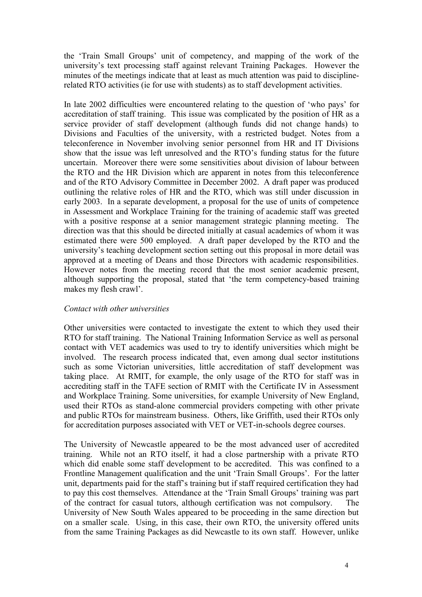the 'Train Small Groups' unit of competency, and mapping of the work of the university's text processing staff against relevant Training Packages. However the minutes of the meetings indicate that at least as much attention was paid to disciplinerelated RTO activities (ie for use with students) as to staff development activities.

In late 2002 difficulties were encountered relating to the question of 'who pays' for accreditation of staff training. This issue was complicated by the position of HR as a service provider of staff development (although funds did not change hands) to Divisions and Faculties of the university, with a restricted budget. Notes from a teleconference in November involving senior personnel from HR and IT Divisions show that the issue was left unresolved and the RTO's funding status for the future uncertain. Moreover there were some sensitivities about division of labour between the RTO and the HR Division which are apparent in notes from this teleconference and of the RTO Advisory Committee in December 2002. A draft paper was produced outlining the relative roles of HR and the RTO, which was still under discussion in early 2003. In a separate development, a proposal for the use of units of competence in Assessment and Workplace Training for the training of academic staff was greeted with a positive response at a senior management strategic planning meeting. The direction was that this should be directed initially at casual academics of whom it was estimated there were 500 employed. A draft paper developed by the RTO and the university's teaching development section setting out this proposal in more detail was approved at a meeting of Deans and those Directors with academic responsibilities. However notes from the meeting record that the most senior academic present, although supporting the proposal, stated that 'the term competency-based training makes my flesh crawl'.

# *Contact with other universities*

Other universities were contacted to investigate the extent to which they used their RTO for staff training. The National Training Information Service as well as personal contact with VET academics was used to try to identify universities which might be involved. The research process indicated that, even among dual sector institutions such as some Victorian universities, little accreditation of staff development was taking place. At RMIT, for example, the only usage of the RTO for staff was in accrediting staff in the TAFE section of RMIT with the Certificate IV in Assessment and Workplace Training. Some universities, for example University of New England, used their RTOs as stand-alone commercial providers competing with other private and public RTOs for mainstream business. Others, like Griffith, used their RTOs only for accreditation purposes associated with VET or VET-in-schools degree courses.

The University of Newcastle appeared to be the most advanced user of accredited training. While not an RTO itself, it had a close partnership with a private RTO which did enable some staff development to be accredited. This was confined to a Frontline Management qualification and the unit 'Train Small Groups'. For the latter unit, departments paid for the staff's training but if staff required certification they had to pay this cost themselves. Attendance at the 'Train Small Groups' training was part of the contract for casual tutors, although certification was not compulsory. The University of New South Wales appeared to be proceeding in the same direction but on a smaller scale. Using, in this case, their own RTO, the university offered units from the same Training Packages as did Newcastle to its own staff. However, unlike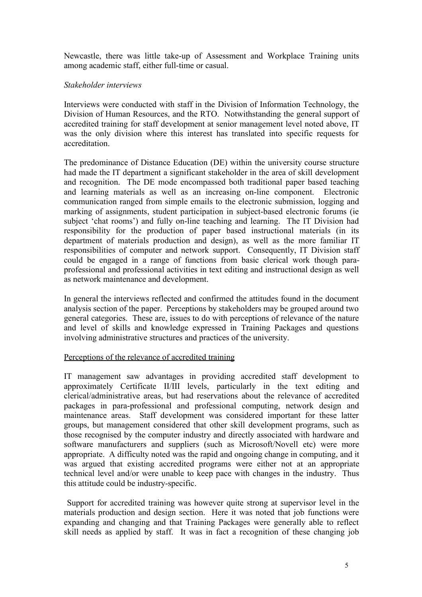Newcastle, there was little take-up of Assessment and Workplace Training units among academic staff, either full-time or casual.

## *Stakeholder interviews*

Interviews were conducted with staff in the Division of Information Technology, the Division of Human Resources, and the RTO. Notwithstanding the general support of accredited training for staff development at senior management level noted above, IT was the only division where this interest has translated into specific requests for accreditation.

The predominance of Distance Education (DE) within the university course structure had made the IT department a significant stakeholder in the area of skill development and recognition. The DE mode encompassed both traditional paper based teaching and learning materials as well as an increasing on-line component. Electronic communication ranged from simple emails to the electronic submission, logging and marking of assignments, student participation in subject-based electronic forums (ie subject 'chat rooms') and fully on-line teaching and learning. The IT Division had responsibility for the production of paper based instructional materials (in its department of materials production and design), as well as the more familiar IT responsibilities of computer and network support. Consequently, IT Division staff could be engaged in a range of functions from basic clerical work though paraprofessional and professional activities in text editing and instructional design as well as network maintenance and development.

In general the interviews reflected and confirmed the attitudes found in the document analysis section of the paper. Perceptions by stakeholders may be grouped around two general categories. These are, issues to do with perceptions of relevance of the nature and level of skills and knowledge expressed in Training Packages and questions involving administrative structures and practices of the university.

# Perceptions of the relevance of accredited training

IT management saw advantages in providing accredited staff development to approximately Certificate II/III levels, particularly in the text editing and clerical/administrative areas, but had reservations about the relevance of accredited packages in para-professional and professional computing, network design and maintenance areas. Staff development was considered important for these latter groups, but management considered that other skill development programs, such as those recognised by the computer industry and directly associated with hardware and software manufacturers and suppliers (such as Microsoft/Novell etc) were more appropriate. A difficulty noted was the rapid and ongoing change in computing, and it was argued that existing accredited programs were either not at an appropriate technical level and/or were unable to keep pace with changes in the industry. Thus this attitude could be industry-specific.

Support for accredited training was however quite strong at supervisor level in the materials production and design section. Here it was noted that job functions were expanding and changing and that Training Packages were generally able to reflect skill needs as applied by staff. It was in fact a recognition of these changing job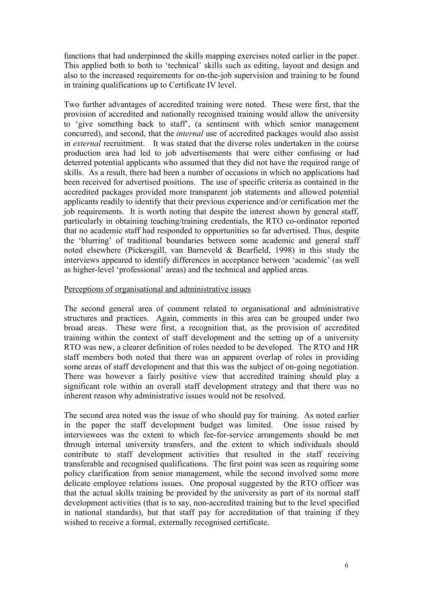functions that had underpinned the skills mapping exercises noted earlier in the paper. This applied both to both to 'technical' skills such as editing, layout and design and also to the increased requirements for on-the-job supervision and training to be found in training qualifications up to Certificate IV level.

Two further advantages of accredited training were noted. These were first, that the provision of accredited and nationally recognised training would allow the university to 'give something back to staff', (a sentiment with which senior management concurred), and second, that the *internal* use of accredited packages would also assist in *external* recruitment. It was stated that the diverse roles undertaken in the course production area had led to job advertisements that were either confusing or had deterred potential applicants who assumed that they did not have the required range of skills. As a result, there had been a number of occasions in which no applications had been received for advertised positions. The use of specific criteria as contained in the accredited packages provided more transparent job statements and allowed potential applicants readily to identify that their previous experience and/or certification met the job requirements. It is worth noting that despite the interest shown by general staff, particularly in obtaining teaching/training credentials, the RTO co-ordinator reported that no academic staff had responded to opportunities so far advertised. Thus, despite the 'blurring' of traditional boundaries between some academic and general staff noted elsewhere (Pickersgill, van Barneveld & Bearfield, 1998) in this study the interviews appeared to identify differences in acceptance between 'academic' (as well as higher-level 'professional' areas) and the technical and applied areas.

## Perceptions of organisational and administrative issues

The second general area of comment related to organisational and administrative structures and practices. Again, comments in this area can be grouped under two broad areas. These were first, a recognition that, as the provision of accredited training within the context of staff development and the setting up of a university RTO was new, a clearer definition of roles needed to be developed. The RTO and HR staff members both noted that there was an apparent overlap of roles in providing some areas of staff development and that this was the subject of on-going negotiation. There was however a fairly positive view that accredited training should play a significant role within an overall staff development strategy and that there was no inherent reason why administrative issues would not be resolved.

The second area noted was the issue of who should pay for training. As noted earlier in the paper the staff development budget was limited. One issue raised by interviewees was the extent to which fee-for-service arrangements should be met through internal university transfers, and the extent to which individuals should contribute to staff development activities that resulted in the staff receiving transferable and recognised qualifications. The first point was seen as requiring some policy clarification from senior management, while the second involved some more delicate employee relations issues. One proposal suggested by the RTO officer was that the actual skills training be provided by the university as part of its normal staff development activities (that is to say, non-accredited training but to the level specified in national standards), but that staff pay for accreditation of that training if they wished to receive a formal, externally recognised certificate.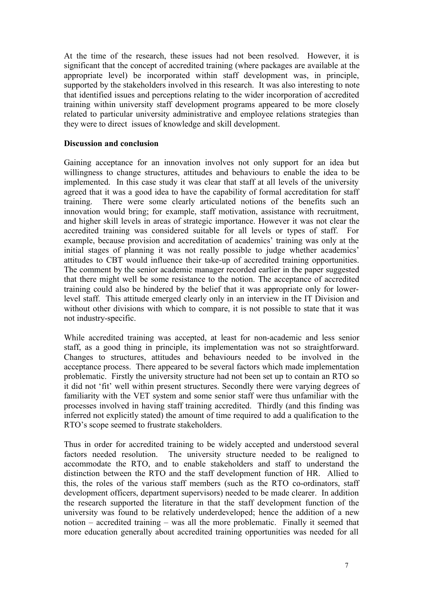At the time of the research, these issues had not been resolved. However, it is significant that the concept of accredited training (where packages are available at the appropriate level) be incorporated within staff development was, in principle, supported by the stakeholders involved in this research. It was also interesting to note that identified issues and perceptions relating to the wider incorporation of accredited training within university staff development programs appeared to be more closely related to particular university administrative and employee relations strategies than they were to direct issues of knowledge and skill development.

### **Discussion and conclusion**

Gaining acceptance for an innovation involves not only support for an idea but willingness to change structures, attitudes and behaviours to enable the idea to be implemented. In this case study it was clear that staff at all levels of the university agreed that it was a good idea to have the capability of formal accreditation for staff training. There were some clearly articulated notions of the benefits such an innovation would bring; for example, staff motivation, assistance with recruitment, and higher skill levels in areas of strategic importance. However it was not clear the accredited training was considered suitable for all levels or types of staff. For example, because provision and accreditation of academics' training was only at the initial stages of planning it was not really possible to judge whether academics' attitudes to CBT would influence their take-up of accredited training opportunities. The comment by the senior academic manager recorded earlier in the paper suggested that there might well be some resistance to the notion. The acceptance of accredited training could also be hindered by the belief that it was appropriate only for lowerlevel staff. This attitude emerged clearly only in an interview in the IT Division and without other divisions with which to compare, it is not possible to state that it was not industry-specific.

While accredited training was accepted, at least for non-academic and less senior staff, as a good thing in principle, its implementation was not so straightforward. Changes to structures, attitudes and behaviours needed to be involved in the acceptance process. There appeared to be several factors which made implementation problematic. Firstly the university structure had not been set up to contain an RTO so it did not 'fit' well within present structures. Secondly there were varying degrees of familiarity with the VET system and some senior staff were thus unfamiliar with the processes involved in having staff training accredited. Thirdly (and this finding was inferred not explicitly stated) the amount of time required to add a qualification to the RTO's scope seemed to frustrate stakeholders.

Thus in order for accredited training to be widely accepted and understood several factors needed resolution. The university structure needed to be realigned to accommodate the RTO, and to enable stakeholders and staff to understand the distinction between the RTO and the staff development function of HR. Allied to this, the roles of the various staff members (such as the RTO co-ordinators, staff development officers, department supervisors) needed to be made clearer. In addition the research supported the literature in that the staff development function of the university was found to be relatively underdeveloped; hence the addition of a new notion – accredited training – was all the more problematic. Finally it seemed that more education generally about accredited training opportunities was needed for all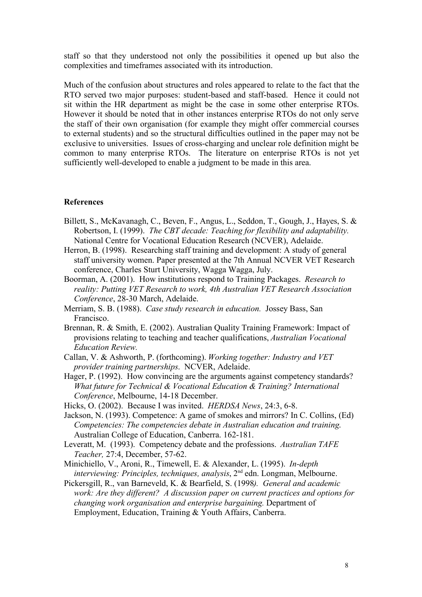staff so that they understood not only the possibilities it opened up but also the complexities and timeframes associated with its introduction.

Much of the confusion about structures and roles appeared to relate to the fact that the RTO served two major purposes: student-based and staff-based. Hence it could not sit within the HR department as might be the case in some other enterprise RTOs. However it should be noted that in other instances enterprise RTOs do not only serve the staff of their own organisation (for example they might offer commercial courses to external students) and so the structural difficulties outlined in the paper may not be exclusive to universities. Issues of cross-charging and unclear role definition might be common to many enterprise RTOs. The literature on enterprise RTOs is not yet sufficiently well-developed to enable a judgment to be made in this area.

#### **References**

- Billett, S., McKavanagh, C., Beven, F., Angus, L., Seddon, T., Gough, J., Hayes, S. & Robertson, I. (1999). *The CBT decade: Teaching for flexibility and adaptability.* National Centre for Vocational Education Research (NCVER), Adelaide.
- Herron, B. (1998). Researching staff training and development: A study of general staff university women. Paper presented at the 7th Annual NCVER VET Research conference, Charles Sturt University, Wagga Wagga, July.
- Boorman, A. (2001). How institutions respond to Training Packages. *Research to reality: Putting VET Research to work, 4th Australian VET Research Association Conference*, 28-30 March, Adelaide.
- Merriam, S. B. (1988). *Case study research in education.* Jossey Bass, San Francisco.
- Brennan, R. & Smith, E. (2002). Australian Quality Training Framework: Impact of provisions relating to teaching and teacher qualifications, *Australian Vocational Education Review.*
- Callan, V. & Ashworth, P. (forthcoming). *Working together: Industry and VET provider training partnerships*. NCVER, Adelaide.
- Hager, P. (1992). How convincing are the arguments against competency standards? *What future for Technical & Vocational Education & Training? International Conference*, Melbourne, 14-18 December.
- Hicks, O. (2002). Because I was invited. *HERDSA News*, 24:3, 6-8.
- Jackson, N. (1993). Competence: A game of smokes and mirrors? In C. Collins, (Ed) *Competencies: The competencies debate in Australian education and training*. Australian College of Education, Canberra. 162-181.
- Leveratt, M. (1993). Competency debate and the professions. *Australian TAFE Teacher,* 27:4, December, 57-62.
- Minichiello, V., Aroni, R., Timewell, E. & Alexander, L. (1995). *In-depth interviewing: Principles, techniques, analysis,* 2<sup>nd</sup> edn. Longman, Melbourne.
- Pickersgill, R., van Barneveld, K. & Bearfield, S. (1998*). General and academic work: Are they different? A discussion paper on current practices and options for changing work organisation and enterprise bargaining.* Department of Employment, Education, Training & Youth Affairs, Canberra.